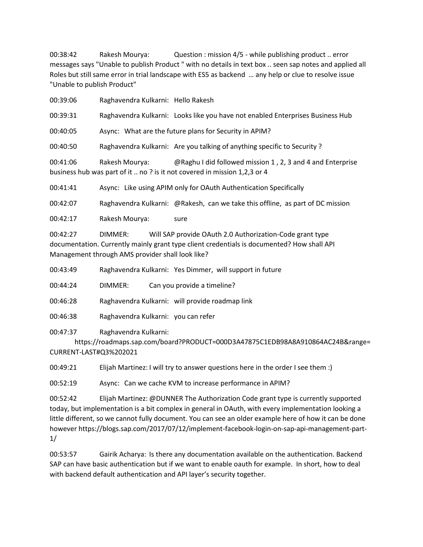00:38:42 Rakesh Mourya: Question : mission 4/5 - while publishing product .. error messages says "Unable to publish Product " with no details in text box .. seen sap notes and applied all Roles but still same error in trial landscape with ES5 as backend … any help or clue to resolve issue "Unable to publish Product"

00:39:06 Raghavendra Kulkarni: Hello Rakesh

00:39:31 Raghavendra Kulkarni: Looks like you have not enabled Enterprises Business Hub

00:40:05 Async: What are the future plans for Security in APIM?

00:40:50 Raghavendra Kulkarni: Are you talking of anything specific to Security ?

00:41:06 Rakesh Mourya: @Raghu I did followed mission 1 , 2, 3 and 4 and Enterprise business hub was part of it .. no ? is it not covered in mission 1,2,3 or 4

00:41:41 Async: Like using APIM only for OAuth Authentication Specifically

00:42:07 Raghavendra Kulkarni: @Rakesh, can we take this offline, as part of DC mission

00:42:17 Rakesh Mourya: sure

00:42:27 DIMMER: Will SAP provide OAuth 2.0 Authorization-Code grant type documentation. Currently mainly grant type client credentials is documented? How shall API Management through AMS provider shall look like?

00:43:49 Raghavendra Kulkarni: Yes Dimmer, will support in future

00:44:24 DIMMER: Can you provide a timeline?

00:46:28 Raghavendra Kulkarni: will provide roadmap link

00:46:38 Raghavendra Kulkarni: you can refer

00:47:37 Raghavendra Kulkarni:

https://roadmaps.sap.com/board?PRODUCT=000D3A47875C1EDB98A8A910864AC24B&range= CURRENT-LAST#Q3%202021

00:49:21 Elijah Martinez: I will try to answer questions here in the order I see them :)

00:52:19 Async: Can we cache KVM to increase performance in APIM?

00:52:42 Elijah Martinez: @DUNNER The Authorization Code grant type is currently supported today, but implementation is a bit complex in general in OAuth, with every implementation looking a little different, so we cannot fully document. You can see an older example here of how it can be done however https://blogs.sap.com/2017/07/12/implement-facebook-login-on-sap-api-management-part-1/

00:53:57 Gairik Acharya: Is there any documentation available on the authentication. Backend SAP can have basic authentication but if we want to enable oauth for example. In short, how to deal with backend default authentication and API layer's security together.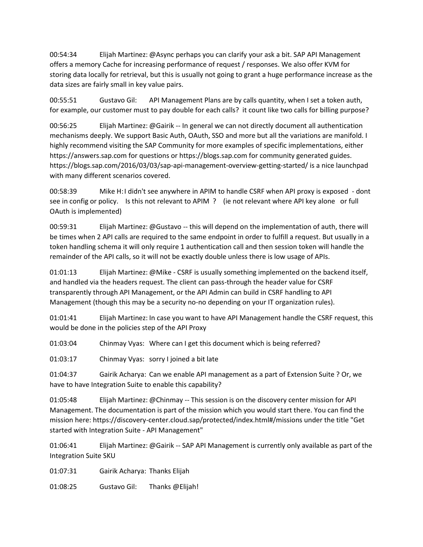00:54:34 Elijah Martinez: @Async perhaps you can clarify your ask a bit. SAP API Management offers a memory Cache for increasing performance of request / responses. We also offer KVM for storing data locally for retrieval, but this is usually not going to grant a huge performance increase as the data sizes are fairly small in key value pairs.

00:55:51 Gustavo Gil: API Management Plans are by calls quantity, when I set a token auth, for example, our customer must to pay double for each calls? it count like two calls for billing purpose?

00:56:25 Elijah Martinez: @Gairik -- In general we can not directly document all authentication mechanisms deeply. We support Basic Auth, OAuth, SSO and more but all the variations are manifold. I highly recommend visiting the SAP Community for more examples of specific implementations, either https://answers.sap.com for questions or https://blogs.sap.com for community generated guides. https://blogs.sap.com/2016/03/03/sap-api-management-overview-getting-started/ is a nice launchpad with many different scenarios covered.

00:58:39 Mike H:I didn't see anywhere in APIM to handle CSRF when API proxy is exposed - dont see in config or policy. Is this not relevant to APIM ? (ie not relevant where API key alone or full OAuth is implemented)

00:59:31 Elijah Martinez: @Gustavo -- this will depend on the implementation of auth, there will be times when 2 API calls are required to the same endpoint in order to fulfill a request. But usually in a token handling schema it will only require 1 authentication call and then session token will handle the remainder of the API calls, so it will not be exactly double unless there is low usage of APIs.

01:01:13 Elijah Martinez: @Mike - CSRF is usually something implemented on the backend itself, and handled via the headers request. The client can pass-through the header value for CSRF transparently through API Management, or the API Admin can build in CSRF handling to API Management (though this may be a security no-no depending on your IT organization rules).

01:01:41 Elijah Martinez: In case you want to have API Management handle the CSRF request, this would be done in the policies step of the API Proxy

01:03:04 Chinmay Vyas: Where can I get this document which is being referred?

01:03:17 Chinmay Vyas: sorry I joined a bit late

01:04:37 Gairik Acharya: Can we enable API management as a part of Extension Suite ? Or, we have to have Integration Suite to enable this capability?

01:05:48 Elijah Martinez: @Chinmay -- This session is on the discovery center mission for API Management. The documentation is part of the mission which you would start there. You can find the mission here: https://discovery-center.cloud.sap/protected/index.html#/missions under the title "Get started with Integration Suite - API Management"

01:06:41 Elijah Martinez: @Gairik -- SAP API Management is currently only available as part of the Integration Suite SKU

01:07:31 Gairik Acharya: Thanks Elijah

01:08:25 Gustavo Gil: Thanks @Elijah!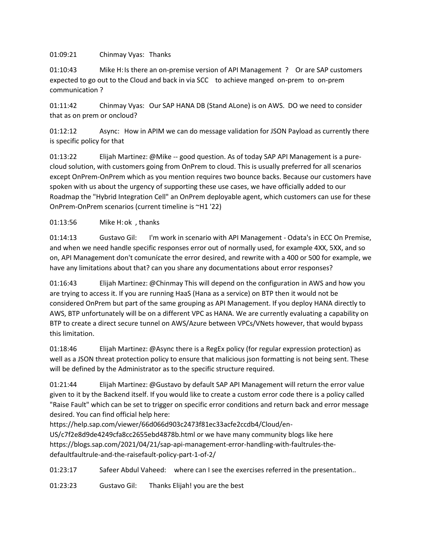01:09:21 Chinmay Vyas: Thanks

01:10:43 Mike H:Is there an on-premise version of API Management ? Or are SAP customers expected to go out to the Cloud and back in via SCC to achieve manged on-prem to on-prem communication ?

01:11:42 Chinmay Vyas: Our SAP HANA DB (Stand ALone) is on AWS. DO we need to consider that as on prem or oncloud?

01:12:12 Async: How in APIM we can do message validation for JSON Payload as currently there is specific policy for that

01:13:22 Elijah Martinez: @Mike -- good question. As of today SAP API Management is a purecloud solution, with customers going from OnPrem to cloud. This is usually preferred for all scenarios except OnPrem-OnPrem which as you mention requires two bounce backs. Because our customers have spoken with us about the urgency of supporting these use cases, we have officially added to our Roadmap the "Hybrid Integration Cell" an OnPrem deployable agent, which customers can use for these OnPrem-OnPrem scenarios (current timeline is ~H1 '22)

01:13:56 Mike H:ok , thanks

01:14:13 Gustavo Gil: I'm work in scenario with API Management - Odata's in ECC On Premise, and when we need handle specific responses error out of normally used, for example 4XX, 5XX, and so on, API Management don't comunícate the error desired, and rewrite with a 400 or 500 for example, we have any limitations about that? can you share any documentations about error responses?

01:16:43 Elijah Martinez: @Chinmay This will depend on the configuration in AWS and how you are trying to access it. If you are running HaaS (Hana as a service) on BTP then it would not be considered OnPrem but part of the same grouping as API Management. If you deploy HANA directly to AWS, BTP unfortunately will be on a different VPC as HANA. We are currently evaluating a capability on BTP to create a direct secure tunnel on AWS/Azure between VPCs/VNets however, that would bypass this limitation.

01:18:46 Elijah Martinez: @Async there is a RegEx policy (for regular expression protection) as well as a JSON threat protection policy to ensure that malicious json formatting is not being sent. These will be defined by the Administrator as to the specific structure required.

01:21:44 Elijah Martinez: @Gustavo by default SAP API Management will return the error value given to it by the Backend itself. If you would like to create a custom error code there is a policy called "Raise Fault" which can be set to trigger on specific error conditions and return back and error message desired. You can find official help here:

https://help.sap.com/viewer/66d066d903c2473f81ec33acfe2ccdb4/Cloud/en-US/c7f2e8d9de4249cfa8cc2655ebd4878b.html or we have many community blogs like here https://blogs.sap.com/2021/04/21/sap-api-management-error-handling-with-faultrules-thedefaultfaultrule-and-the-raisefault-policy-part-1-of-2/

01:23:17 Safeer Abdul Vaheed: where can I see the exercises referred in the presentation..

01:23:23 Gustavo Gil: Thanks Elijah! you are the best